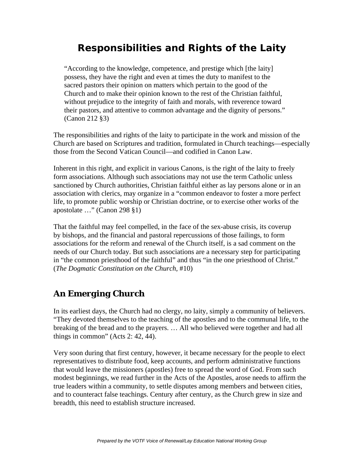# **Responsibilities and Rights of the Laity**

"According to the knowledge, competence, and prestige which [the laity] possess, they have the right and even at times the duty to manifest to the sacred pastors their opinion on matters which pertain to the good of the Church and to make their opinion known to the rest of the Christian faithful, without prejudice to the integrity of faith and morals, with reverence toward their pastors, and attentive to common advantage and the dignity of persons." (Canon 212 §3)

The responsibilities and rights of the laity to participate in the work and mission of the Church are based on Scriptures and tradition, formulated in Church teachings—especially those from the Second Vatican Council—and codified in Canon Law.

Inherent in this right, and explicit in various Canons, is the right of the laity to freely form associations. Although such associations may not use the term Catholic unless sanctioned by Church authorities, Christian faithful either as lay persons alone or in an association with clerics, may organize in a "common endeavor to foster a more perfect life, to promote public worship or Christian doctrine, or to exercise other works of the apostolate …" (Canon 298 §1)

That the faithful may feel compelled, in the face of the sex-abuse crisis, its coverup by bishops, and the financial and pastoral repercussions of those failings, to form associations for the reform and renewal of the Church itself, is a sad comment on the needs of our Church today. But such associations are a necessary step for participating in "the common priesthood of the faithful" and thus "in the one priesthood of Christ." (*The Dogmatic Constitution on the Church*, #10)

# *An Emerging Church*

In its earliest days, the Church had no clergy, no laity, simply a community of believers. "They devoted themselves to the teaching of the apostles and to the communal life, to the breaking of the bread and to the prayers. … All who believed were together and had all things in common" (Acts 2: 42, 44).

Very soon during that first century, however, it became necessary for the people to elect representatives to distribute food, keep accounts, and perform administrative functions that would leave the missioners (apostles) free to spread the word of God. From such modest beginnings, we read further in the Acts of the Apostles, arose needs to affirm the true leaders within a community, to settle disputes among members and between cities, and to counteract false teachings. Century after century, as the Church grew in size and breadth, this need to establish structure increased.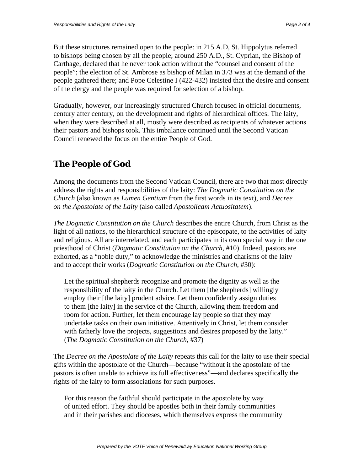But these structures remained open to the people: in 215 A.D, St. Hippolytus referred to bishops being chosen by all the people; around 250 A.D., St. Cyprian, the Bishop of Carthage, declared that he never took action without the "counsel and consent of the people"; the election of St. Ambrose as bishop of Milan in 373 was at the demand of the people gathered there; and Pope Celestine I (422-432) insisted that the desire and consent of the clergy and the people was required for selection of a bishop.

Gradually, however, our increasingly structured Church focused in official documents, century after century, on the development and rights of hierarchical offices. The laity, when they were described at all, mostly were described as recipients of whatever actions their pastors and bishops took. This imbalance continued until the Second Vatican Council renewed the focus on the entire People of God.

### *The People of God*

Among the documents from the Second Vatican Council, there are two that most directly address the rights and responsibilities of the laity: *The Dogmatic Constitution on the Church* (also known as *Lumen Gentium* from the first words in its text), and *Decree on the Apostolate of the Laity* (also called *Apostolicam Actuositatem*).

*The Dogmatic Constitution on the Church* describes the entire Church, from Christ as the light of all nations, to the hierarchical structure of the episcopate, to the activities of laity and religious. All are interrelated, and each participates in its own special way in the one priesthood of Christ (*Dogmatic Constitution on the Church*, #10). Indeed, pastors are exhorted, as a "noble duty," to acknowledge the ministries and charisms of the laity and to accept their works (*Dogmatic Constitution on the Church*, #30):

Let the spiritual shepherds recognize and promote the dignity as well as the responsibility of the laity in the Church. Let them [the shepherds] willingly employ their [the laity] prudent advice. Let them confidently assign duties to them [the laity] in the service of the Church, allowing them freedom and room for action. Further, let them encourage lay people so that they may undertake tasks on their own initiative. Attentively in Christ, let them consider with fatherly love the projects, suggestions and desires proposed by the laity." (*The Dogmatic Constitution on the Church*, #37)

The *Decree on the Apostolate of the Laity* repeats this call for the laity to use their special gifts within the apostolate of the Church—because "without it the apostolate of the pastors is often unable to achieve its full effectiveness"—and declares specifically the rights of the laity to form associations for such purposes.

For this reason the faithful should participate in the apostolate by way of united effort. They should be apostles both in their family communities and in their parishes and dioceses, which themselves express the community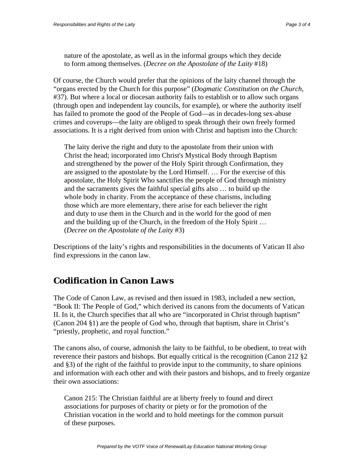nature of the apostolate, as well as in the informal groups which they decide to form among themselves. (*Decree on the Apostolate of the Laity* #18)

Of course, the Church would prefer that the opinions of the laity channel through the "organs erected by the Church for this purpose" (*Dogmatic Constitution on the Church*, #37). But where a local or diocesan authority fails to establish or to allow such organs (through open and independent lay councils, for example), or where the authority itself has failed to promote the good of the People of God—as in decades-long sex-abuse crimes and coverups—the laity are obliged to speak through their own freely formed associations. It is a right derived from union with Christ and baptism into the Church:

The laity derive the right and duty to the apostolate from their union with Christ the head; incorporated into Christ's Mystical Body through Baptism and strengthened by the power of the Holy Spirit through Confirmation, they are assigned to the apostolate by the Lord Himself. … For the exercise of this apostolate, the Holy Spirit Who sanctifies the people of God through ministry and the sacraments gives the faithful special gifts also … to build up the whole body in charity. From the acceptance of these charisms, including those which are more elementary, there arise for each believer the right and duty to use them in the Church and in the world for the good of men and the building up of the Church, in the freedom of the Holy Spirit … (*Decree on the Apostolate of the Laity* #3)

Descriptions of the laity's rights and responsibilities in the documents of Vatican II also find expressions in the canon law.

#### *Codification in Canon Laws*

The Code of Canon Law, as revised and then issued in 1983, included a new section, "Book II: The People of God," which derived its canons from the documents of Vatican II. In it, the Church specifies that all who are "incorporated in Christ through baptism" (Canon 204 §1) are the people of God who, through that baptism, share in Christ's "priestly, prophetic, and royal function."

The canons also, of course, admonish the laity to be faithful, to be obedient, to treat with reverence their pastors and bishops. But equally critical is the recognition (Canon 212 §2 and §3) of the right of the faithful to provide input to the community, to share opinions and information with each other and with their pastors and bishops, and to freely organize their own associations:

Canon 215: The Christian faithful are at liberty freely to found and direct associations for purposes of charity or piety or for the promotion of the Christian vocation in the world and to hold meetings for the common pursuit of these purposes.